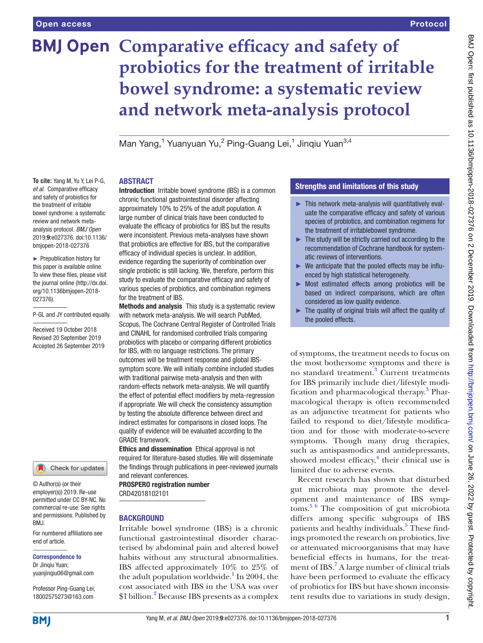# **BMJ Open Comparative efficacy and safety of probiotics for the treatment of irritable bowel syndrome: a systematic review and network meta-analysis protocol**

Man Yang,<sup>1</sup> Yuanyuan Yu,<sup>2</sup> Ping-Guang Lei,<sup>1</sup> Jinqiu Yuan<sup>3,4</sup>

### **ABSTRACT**

**To cite:** Yang M, Yu Y, Lei P-G, *et al*. Comparative efficacy and safety of probiotics for the treatment of irritable bowel syndrome: a systematic review and network metaanalysis protocol. *BMJ Open* 2019;9:e027376. doi:10.1136/ bmjopen-2018-027376

► Prepublication history for this paper is available online. To view these files, please visit the journal online (http://dx.doi. org/10.1136bmjopen-2018- 027376).

P-GL and JY contributed equally.

Received 19 October 2018 Revised 20 September 2019 Accepted 26 September 2019



© Author(s) (or their employer(s)) 2019. Re-use permitted under CC BY-NC. No commercial re-use. See rights and permissions. Published by BMJ.

For numbered affiliations see end of article.

#### Correspondence to

Dr Jinqiu Yuan; yuanjinqiu06@gmail.com

Professor Ping-Guang Lei; 18002575273@163.com

Introduction Irritable bowel syndrome (IBS) is a common chronic functional gastrointestinal disorder affecting approximately 10% to 25% of the adult population. A large number of clinical trials have been conducted to evaluate the efficacy of probiotics for IBS but the results were inconsistent. Previous meta-analyses have shown that probiotics are effective for IBS, but the comparative efficacy of individual species is unclear. In addition, evidence regarding the superiority of combination over single probiotic is still lacking. We, therefore, perform this study to evaluate the comparative efficacy and safety of various species of probiotics, and combination regimens for the treatment of IBS.

Methods and analysis This study is a systematic review with network meta-analysis. We will search PubMed, Scopus, The Cochrane Central Register of Controlled Trials and CINAHL for randomised controlled trials comparing probiotics with placebo or comparing different probiotics for IBS, with no language restrictions. The primary outcomes will be treatment response and global IBSsymptom score. We will initially combine included studies with traditional pairwise meta-analysis and then with random-effects network meta-analysis. We will quantify the effect of potential effect modifiers by meta-regression if appropriate. We will check the consistency assumption by testing the absolute difference between direct and indirect estimates for comparisons in closed loops. The quality of evidence will be evaluated according to the GRADE framework.

Ethics and dissemination Ethical approval is not required for literature-based studies. We will disseminate the findings through publications in peer-reviewed journals and relevant conferences.

PROSPERO registration number CRD42018102101

### **BACKGROUND**

Irritable bowel syndrome (IBS) is a chronic functional gastrointestinal disorder characterised by abdominal pain and altered bowel habits without any structural abnormalities. IBS affected approximately 10% to 25% of the adult population worldwide.<sup>[1](#page-3-0)</sup> In 2004, the cost associated with IBS in the USA was over \$1 billion.<sup>[2](#page-3-1)</sup> Because IBS presents as a complex

# Strengths and limitations of this study

- ► This network meta-analysis will quantitatively evaluate the comparative efficacy and safety of various species of probiotics, and combination regimens for the treatment of irritablebowel syndrome.
- $\blacktriangleright$  The study will be strictly carried out according to the recommendation of Cochrane handbook for systematic reviews of interventions.
- $\blacktriangleright$  We anticipate that the pooled effects may be influenced by high statistical heterogeneity.
- ► Most estimated effects among probiotics will be based on indirect comparisons, which are often considered as low quality evidence.
- ► The quality of original trials will affect the quality of the pooled effects.

of symptoms, the treatment needs to focus on the most bothersome symptoms and there is no standard treatment.<sup>[3](#page-3-2)</sup> Current treatments for IBS primarily include diet/lifestyle modi-fication and pharmacological therapy.<sup>[3](#page-3-2)</sup> Pharmacological therapy is often recommended as an adjunctive treatment for patients who failed to respond to diet/lifestyle modification and for those with moderate-to-severe symptoms. Though many drug therapies, such as antispasmodics and antidepressants, showed modest efficacy,<sup>[4](#page-3-3)</sup> their clinical use is limited due to adverse events.

Recent research has shown that disturbed gut microbiota may promote the development and maintenance of IBS symp $toms.<sup>56</sup>$  The composition of gut microbiota differs among specific subgroups of IBS patients and healthy individuals.<sup>5</sup> These findings promoted the research on probiotics, live or attenuated microorganisms that may have beneficial effects in humans, for the treat-ment of IBS.<sup>[7](#page-3-5)</sup> A large number of clinical trials have been performed to evaluate the efficacy of probiotics for IBS but have shown inconsistent results due to variations in study design,

**BMI**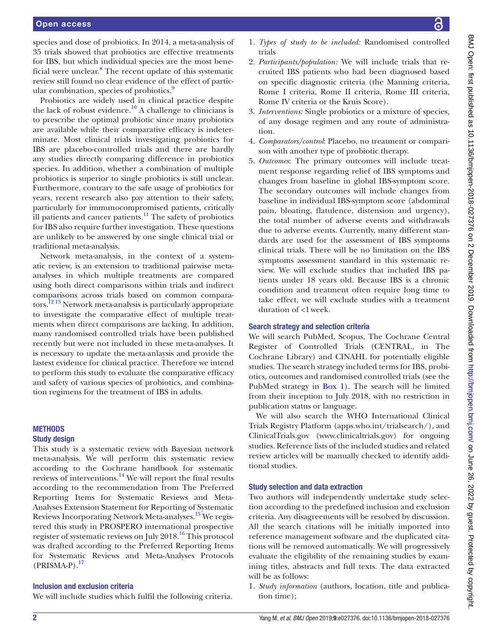### Open access

species and dose of probiotics. In 2014, a meta-analysis of 35 trials showed that probiotics are effective treatments for IBS, but which individual species are the most bene-ficial were unclear.<sup>[8](#page-3-6)</sup> The recent update of this systematic review still found no clear evidence of the effect of partic-ular combination, species of probiotics.<sup>[9](#page-3-7)</sup>

Probiotics are widely used in clinical practice despite the lack of robust evidence.<sup>10</sup> A challenge to clinicians is to prescribe the optimal probiotic since many probiotics are available while their comparative efficacy is indeterminate. Most clinical trials investigating probiotics for IBS are placebo-controlled trials and there are hardly any studies directly comparing difference in probiotics species. In addition, whether a combination of multiple probiotics is superior to single probiotics is still unclear. Furthermore, contrary to the safe usage of probiotics for years, recent research also pay attention to their safety, particularly for immunocompromised patients, critically ill patients and cancer patients. $\frac{11}{11}$  The safety of probiotics for IBS also require further investigation. These questions are unlikely to be answered by one single clinical trial or traditional meta-analysis.

Network meta-analysis, in the context of a systematic review, is an extension to traditional pairwise metaanalyses in which multiple treatments are compared using both direct comparisons within trials and indirect comparisons across trials based on common comparators.<sup>12 13</sup> Network meta-analysis is particularly appropriate to investigate the comparative effect of multiple treatments when direct comparisons are lacking. In addition, many randomised controlled trials have been published recently but were not included in these meta-analyses. It is necessary to update the meta-anlaysis and provide the lastest evidence for clinical practice. Therefore we intend to perform this study to evaluate the comparative efficacy and safety of various species of probiotics, and combination regimens for the treatment of IBS in adults.

#### **METHODS** Study design

# This study is a systematic review with Bayesian network meta-analysis. We will perform this systematic review according to the Cochrane handbook for systematic reviews of interventions.<sup>14</sup> We will report the final results according to the recommendation from The Preferred Reporting Items for Systematic Reviews and Meta-Analyses Extension Statement for Reporting of Systematic Reviews Incorporating Network Meta-analyses.<sup>15</sup> We registered this study in PROSPERO international prospective register of systematic reviews on July 2018.<sup>16</sup> This protocol was drafted according to the Preferred Reporting Items for Systematic Reviews and Meta-Analyses Protocols  $(PRISMA-P).$ <sup>[17](#page-3-14)</sup>

### Inclusion and exclusion criteria

We will include studies which fulfil the following criteria.

- 1. *Types of study to be included:* Randomised controlled trials
- 2. *Participants/population:* We will include trials that recruited IBS patients who had been diagnosed based on specific diagnostic criteria (the Manning criteria, Rome I criteria, Rome II criteria, Rome III criteria, Rome IV criteria or the Kruis Score).
- 3. *Interventions:* Single probiotics or a mixture of species, of any dosage regimen and any route of administration.
- 4. *Comparators/control*: Placebo, no treatment or comparison with another type of probiotic therapy.
- 5. *Outcomes*: The primary outcomes will include treatment response regarding relief of IBS symptoms and changes from baseline in global IBS-symptom score. The secondary outcomes will include changes from baseline in individual IBS-symptom score (abdominal pain, bloating, flatulence, distension and urgency), the total number of adverse events and withdrawals due to adverse events. Currently, many different standards are used for the assessment of IBS symptoms clinical trials. There will be no limitation on the IBS symptoms assessment standard in this systematic review. We will exclude studies that included IBS patients under 18 years old. Because IBS is a chronic condition and treatment often require long time to take effect, we will exclude studies with a treatment duration of <1week.

### Search strategy and selection criteria

We will search PubMed, Scopus, The Cochrane Central Register of Controlled Trials (CENTRAL, in The Cochrane Library) and CINAHL for potentially eligible studies. The search strategy included terms for IBS, probiotics, outcomes and randomised controlled trials (see the PubMed strategy in [Box](#page-2-0) 1). The search will be limited from their inception to July 2018, with no restriction in publication status or language.

We will also search the WHO International Clinical Trials Registry Platform (apps.who.int/trialsearch/), and ClinicalTrials.gov (<www.clinicaltrials.gov>) for ongoing studies. Reference lists of the included studies and related review articles will be manually checked to identify additional studies.

### Study selection and data extraction

Two authors will independently undertake study selection according to the predefined inclusion and exclusion criteria. Any disagreements will be resolved by discussion. All the search citations will be initially imported into reference management software and the duplicated citations will be removed automatically. We will progressively evaluate the eligibility of the remaining studies by examining titles, abstracts and full texts. The data extracted will be as follows:

1. *Study information* (authors, location, title and publication time);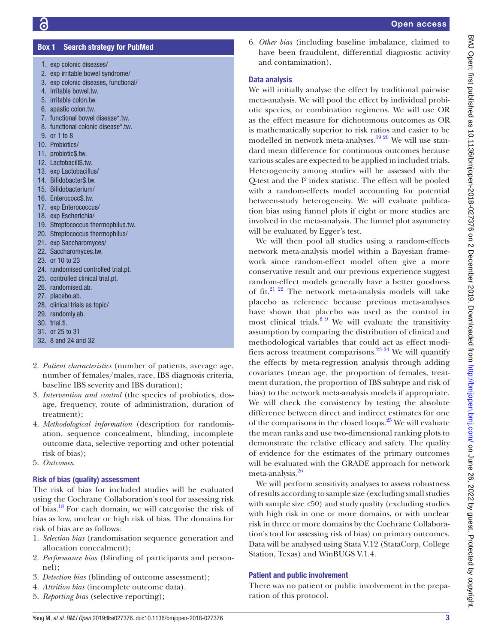### Open access

# Box 1 Search strategy for PubMed

- <span id="page-2-0"></span>1. exp colonic diseases/
- 2. exp irritable bowel syndrome/
- 3. exp colonic diseases, functional/
- 4. irritable bowel.tw.
- 5. irritable colon.tw.
- 6. spastic colon.tw.
- 7. functional bowel disease\*.tw.
- 8. functional colonic disease\*.tw.
- 9. or 1 to 8
- 10. Probiotics/
- 11. probiotic\$.tw.
- 12. Lactobacill\$.tw.
- 13. exp Lactobacillus/ 14. Bifidobacter\$.tw.
- 15. Bifidobacterium/
- 16. Enterococc\$.tw.
- 17. exp Enterococcus/
- 18. exp Escherichia/
- 19. Streptococcus thermophilus.tw.
- 20. Streptococcus thermophilus/
- 21. exp Saccharomyces/
- 22. Saccharomyces.tw.
- 23. or 10 to 23
- 24. randomised controlled trial.pt.
- 25. controlled clinical trial.pt.
- 26. randomised.ab.
- 27. placebo.ab.
- 28. clinical trials as topic/
- 29. randomly.ab.
- 30. trial.ti.
- 31. or 25 to 31
- 32. 8 and 24 and 32
- 2. *Patient characteristics* (number of patients, average age, number of females/males, race, IBS diagnosis criteria, baseline IBS severity and IBS duration);
- 3. *Intervention and control* (the species of probiotics, dosage, frequency, route of administration, duration of treatment);
- 4. *Methodological information* (description for randomisation, sequence concealment, blinding, incomplete outcome data, selective reporting and other potential risk of bias);
- 5. *Outcomes*.

### Risk of bias (quality) assessment

The risk of bias for included studies will be evaluated using the Cochrane Collaboration's tool for assessing risk of bias.[18](#page-3-15) For each domain, we will categorise the risk of bias as low, unclear or high risk of bias. The domains for risk of bias are as follows:

- 1. *Selection bias* (randomisation sequence generation and allocation concealment);
- 2. *Performance bias* (blinding of participants and personnel);
- 3. *Detection bias* (blinding of outcome assessment);
- 4. *Attrition bias* (incomplete outcome data).
- 5. *Reporting bias* (selective reporting);

6. *Other bias* (including baseline imbalance, claimed to have been fraudulent, differential diagnostic activity and contamination).

# Data analysis

We will initially analyse the effect by traditional pairwise meta-analysis. We will pool the effect by individual probiotic species, or combination regimens. We will use OR as the effect measure for dichotomous outcomes as OR is mathematically superior to risk ratios and easier to be modelled in network meta-analyses[.19 20](#page-3-16) We will use standard mean difference for continuous outcomes because various scales are expected to be applied in included trials. Heterogeneity among studies will be assessed with the Q-test and the I² index statistic. The effect will be pooled with a random-effects model accounting for potential between-study heterogeneity. We will evaluate publication bias using funnel plots if eight or more studies are involved in the meta-analysis. The funnel plot asymmetry will be evaluated by Egger's test.

We will then pool all studies using a random-effects network meta-analysis model within a Bayesian framework since random-effect model often give a more conservative result and our previous experience suggest random-effect models generally have a better goodness of fit. $21$   $22$  The network meta-analysis models will take placebo as reference because previous meta-analyses have shown that placebo was used as the control in most clinical trials. $89$  We will evaluate the transitivity assumption by comparing the distribution of clinical and methodological variables that could act as effect modifiers across treatment comparisons. $23\frac{24}{1}$  We will quantify the effects by meta-regression analysis through adding covariates (mean age, the proportion of females, treatment duration, the proportion of IBS subtype and risk of bias) to the network meta-analysis models if appropriate. We will check the consistency by testing the absolute difference between direct and indirect estimates for one of the comparisons in the closed loops. $25$  We will evaluate the mean ranks and use two-dimensional ranking plots to demonstrate the relative efficacy and safety. The quality of evidence for the estimates of the primary outcomes will be evaluated with the GRADE approach for network meta-analysis.<sup>[26](#page-3-20)</sup>

We will perform sensitivity analyses to assess robustness of results according to sample size (excluding small studies with sample size <50) and study quality (excluding studies with high risk in one or more domains, or with unclear risk in three or more domains by the Cochrane Collaboration's tool for assessing risk of bias) on primary outcomes. Data will be analysed using Stata V.12 (StataCorp, College Station, Texas) and WinBUGS V.1.4.

# Patient and public involvement

There was no patient or public involvement in the preparation of this protocol.